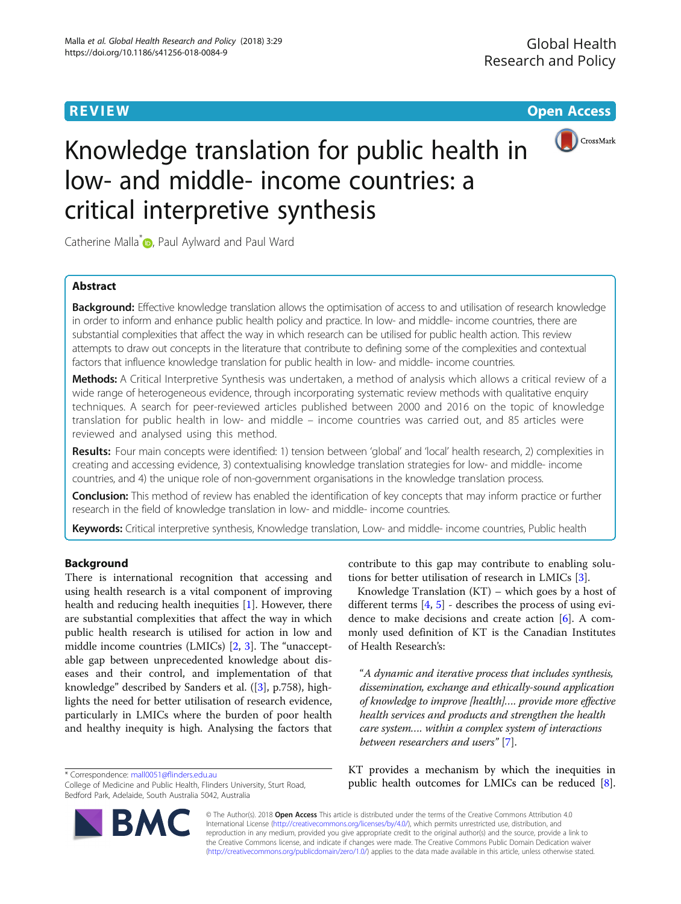**REVIEW CONTROL** CONTROL CONTROL CONTROL CONTROL CONTROL CONTROL CONTROL CONTROL CONTROL CONTROL CONTROL CONTROL



# Knowledge translation for public health in low- and middle- income countries: a critical interpretive synthesis

Catherine Malla<sup>\*</sup> <sub>(b</sub>[,](http://orcid.org/0000-0002-2324-5655) Paul Aylward and Paul Ward

# Abstract

Background: Effective knowledge translation allows the optimisation of access to and utilisation of research knowledge in order to inform and enhance public health policy and practice. In low- and middle- income countries, there are substantial complexities that affect the way in which research can be utilised for public health action. This review attempts to draw out concepts in the literature that contribute to defining some of the complexities and contextual factors that influence knowledge translation for public health in low- and middle- income countries.

Methods: A Critical Interpretive Synthesis was undertaken, a method of analysis which allows a critical review of a wide range of heterogeneous evidence, through incorporating systematic review methods with qualitative enquiry techniques. A search for peer-reviewed articles published between 2000 and 2016 on the topic of knowledge translation for public health in low- and middle – income countries was carried out, and 85 articles were reviewed and analysed using this method.

Results: Four main concepts were identified: 1) tension between 'global' and 'local' health research, 2) complexities in creating and accessing evidence, 3) contextualising knowledge translation strategies for low- and middle- income countries, and 4) the unique role of non-government organisations in the knowledge translation process.

**Conclusion:** This method of review has enabled the identification of key concepts that may inform practice or further research in the field of knowledge translation in low- and middle- income countries.

Keywords: Critical interpretive synthesis, Knowledge translation, Low- and middle- income countries, Public health

# Background

There is international recognition that accessing and using health research is a vital component of improving health and reducing health inequities [\[1](#page-8-0)]. However, there are substantial complexities that affect the way in which public health research is utilised for action in low and middle income countries (LMICs) [[2,](#page-8-0) [3\]](#page-8-0). The "unacceptable gap between unprecedented knowledge about diseases and their control, and implementation of that knowledge" described by Sanders et al. ([\[3](#page-8-0)], p.758), highlights the need for better utilisation of research evidence, particularly in LMICs where the burden of poor health and healthy inequity is high. Analysing the factors that



Knowledge Translation  $(KT)$  – which goes by a host of different terms  $[4, 5]$  $[4, 5]$  $[4, 5]$  $[4, 5]$  - describes the process of using evidence to make decisions and create action [\[6](#page-8-0)]. A commonly used definition of KT is the Canadian Institutes of Health Research's:

"A dynamic and iterative process that includes synthesis, dissemination, exchange and ethically-sound application of knowledge to improve [health]…. provide more effective health services and products and strengthen the health care system…. within a complex system of interactions between researchers and users" [[7\]](#page-8-0).

KT provides a mechanism by which the inequities in \* Correspondence: [mall0051@flinders.edu.au](mailto:mall0051@flinders.edu.au)<br>College of Medicine and Public Health. Flinders University. Sturt Road. **bublic health outcomes for LMICs can be reduced [\[8](#page-8-0)].** 

> © The Author(s). 2018 Open Access This article is distributed under the terms of the Creative Commons Attribution 4.0 International License [\(http://creativecommons.org/licenses/by/4.0/](http://creativecommons.org/licenses/by/4.0/)), which permits unrestricted use, distribution, and reproduction in any medium, provided you give appropriate credit to the original author(s) and the source, provide a link to the Creative Commons license, and indicate if changes were made. The Creative Commons Public Domain Dedication waiver [\(http://creativecommons.org/publicdomain/zero/1.0/](http://creativecommons.org/publicdomain/zero/1.0/)) applies to the data made available in this article, unless otherwise stated.



College of Medicine and Public Health, Flinders University, Sturt Road, Bedford Park, Adelaide, South Australia 5042, Australia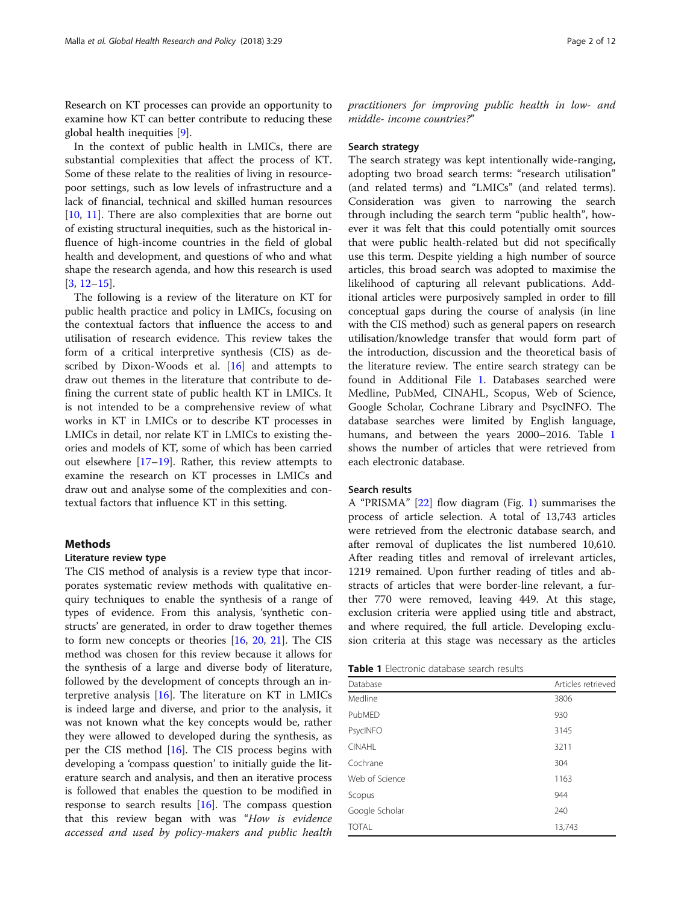Research on KT processes can provide an opportunity to examine how KT can better contribute to reducing these global health inequities [[9\]](#page-8-0).

In the context of public health in LMICs, there are substantial complexities that affect the process of KT. Some of these relate to the realities of living in resourcepoor settings, such as low levels of infrastructure and a lack of financial, technical and skilled human resources [[10,](#page-8-0) [11](#page-8-0)]. There are also complexities that are borne out of existing structural inequities, such as the historical influence of high-income countries in the field of global health and development, and questions of who and what shape the research agenda, and how this research is used [[3,](#page-8-0) [12](#page-8-0)–[15](#page-8-0)].

The following is a review of the literature on KT for public health practice and policy in LMICs, focusing on the contextual factors that influence the access to and utilisation of research evidence. This review takes the form of a critical interpretive synthesis (CIS) as described by Dixon-Woods et al.  $[16]$  $[16]$  $[16]$  and attempts to draw out themes in the literature that contribute to defining the current state of public health KT in LMICs. It is not intended to be a comprehensive review of what works in KT in LMICs or to describe KT processes in LMICs in detail, nor relate KT in LMICs to existing theories and models of KT, some of which has been carried out elsewhere [[17](#page-8-0)–[19](#page-9-0)]. Rather, this review attempts to examine the research on KT processes in LMICs and draw out and analyse some of the complexities and contextual factors that influence KT in this setting.

# Methods

### Literature review type

The CIS method of analysis is a review type that incorporates systematic review methods with qualitative enquiry techniques to enable the synthesis of a range of types of evidence. From this analysis, 'synthetic constructs' are generated, in order to draw together themes to form new concepts or theories [[16,](#page-8-0) [20,](#page-9-0) [21](#page-9-0)]. The CIS method was chosen for this review because it allows for the synthesis of a large and diverse body of literature, followed by the development of concepts through an interpretive analysis  $[16]$  $[16]$ . The literature on KT in LMICs is indeed large and diverse, and prior to the analysis, it was not known what the key concepts would be, rather they were allowed to developed during the synthesis, as per the CIS method [\[16\]](#page-8-0). The CIS process begins with developing a 'compass question' to initially guide the literature search and analysis, and then an iterative process is followed that enables the question to be modified in response to search results  $[16]$  $[16]$ . The compass question that this review began with was "How is evidence accessed and used by policy-makers and public health practitioners for improving public health in low- and middle- income countries?"

# Search strategy

The search strategy was kept intentionally wide-ranging, adopting two broad search terms: "research utilisation" (and related terms) and "LMICs" (and related terms). Consideration was given to narrowing the search through including the search term "public health", however it was felt that this could potentially omit sources that were public health-related but did not specifically use this term. Despite yielding a high number of source articles, this broad search was adopted to maximise the likelihood of capturing all relevant publications. Additional articles were purposively sampled in order to fill conceptual gaps during the course of analysis (in line with the CIS method) such as general papers on research utilisation/knowledge transfer that would form part of the introduction, discussion and the theoretical basis of the literature review. The entire search strategy can be found in Additional File [1](#page-8-0). Databases searched were Medline, PubMed, CINAHL, Scopus, Web of Science, Google Scholar, Cochrane Library and PsycINFO. The database searches were limited by English language, humans, and between the years 2000–2016. Table 1 shows the number of articles that were retrieved from each electronic database.

# Search results

A "PRISMA" [[22](#page-9-0)] flow diagram (Fig. [1\)](#page-2-0) summarises the process of article selection. A total of 13,743 articles were retrieved from the electronic database search, and after removal of duplicates the list numbered 10,610. After reading titles and removal of irrelevant articles, 1219 remained. Upon further reading of titles and abstracts of articles that were border-line relevant, a further 770 were removed, leaving 449. At this stage, exclusion criteria were applied using title and abstract, and where required, the full article. Developing exclusion criteria at this stage was necessary as the articles

| Table 1 Electronic database search results |  |
|--------------------------------------------|--|
|--------------------------------------------|--|

| Database       | Articles retrieved |  |
|----------------|--------------------|--|
| Medline        | 3806               |  |
| PubMED         | 930                |  |
| PsycINFO       | 3145               |  |
| <b>CINAHL</b>  | 3211               |  |
| Cochrane       | 304                |  |
| Web of Science | 1163               |  |
| Scopus         | 944                |  |
| Google Scholar | 240                |  |
| <b>TOTAL</b>   | 13,743             |  |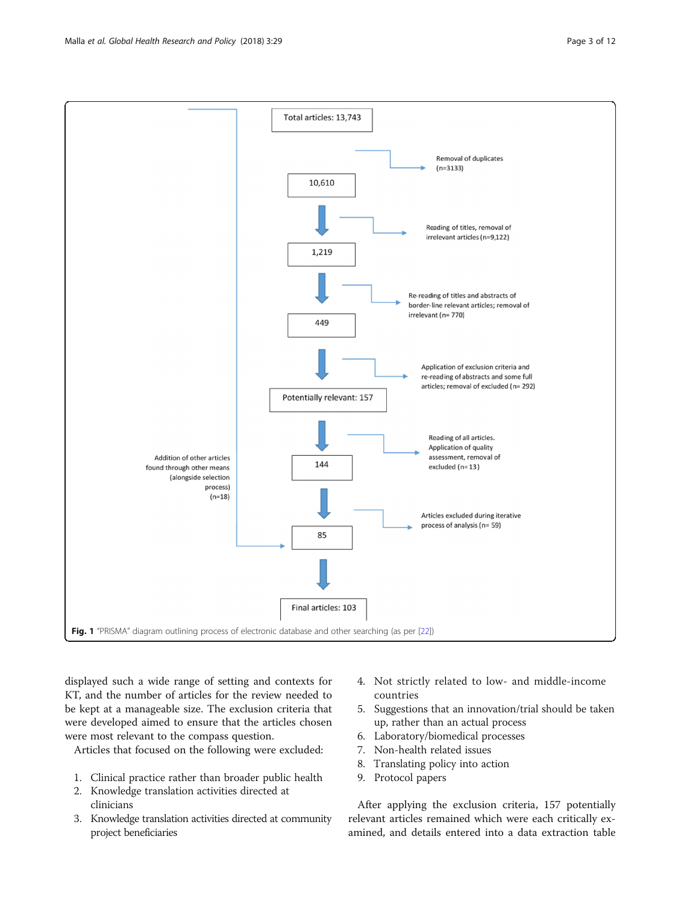displayed such a wide range of setting and contexts for KT, and the number of articles for the review needed to be kept at a manageable size. The exclusion criteria that were developed aimed to ensure that the articles chosen were most relevant to the compass question.

Articles that focused on the following were excluded:

- 1. Clinical practice rather than broader public health
- 2. Knowledge translation activities directed at clinicians
- 3. Knowledge translation activities directed at community project beneficiaries
- 4. Not strictly related to low- and middle-income countries
- 5. Suggestions that an innovation/trial should be taken up, rather than an actual process
- 6. Laboratory/biomedical processes
- 7. Non-health related issues
- 8. Translating policy into action
- 9. Protocol papers

After applying the exclusion criteria, 157 potentially relevant articles remained which were each critically examined, and details entered into a data extraction table

<span id="page-2-0"></span>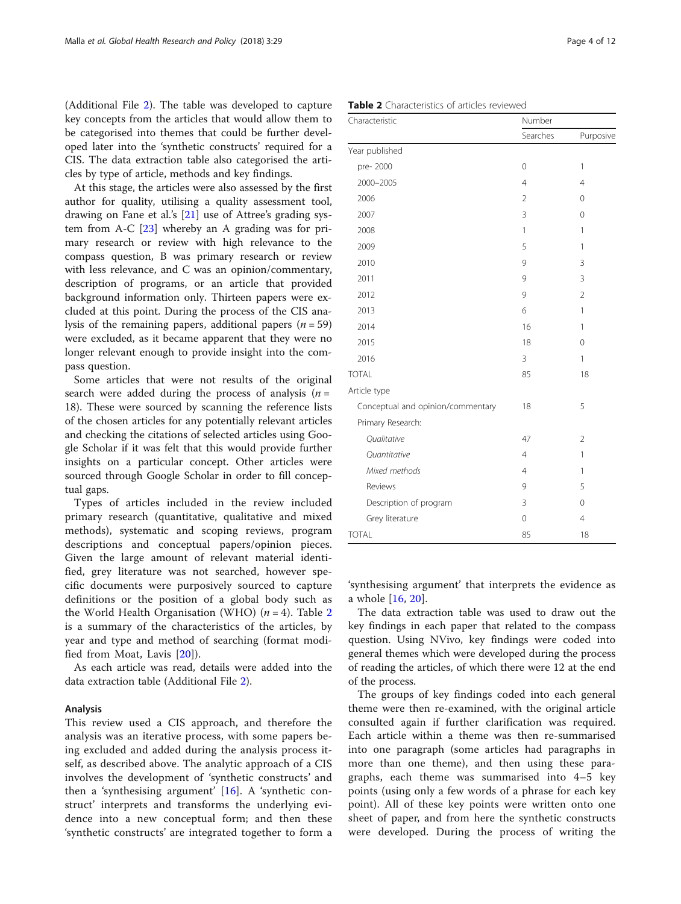(Additional File [2\)](#page-8-0). The table was developed to capture key concepts from the articles that would allow them to be categorised into themes that could be further developed later into the 'synthetic constructs' required for a CIS. The data extraction table also categorised the articles by type of article, methods and key findings.

At this stage, the articles were also assessed by the first author for quality, utilising a quality assessment tool, drawing on Fane et al.'s [[21](#page-9-0)] use of Attree's grading system from A-C [\[23\]](#page-9-0) whereby an A grading was for primary research or review with high relevance to the compass question, B was primary research or review with less relevance, and C was an opinion/commentary, description of programs, or an article that provided background information only. Thirteen papers were excluded at this point. During the process of the CIS analysis of the remaining papers, additional papers  $(n = 59)$ were excluded, as it became apparent that they were no longer relevant enough to provide insight into the compass question.

Some articles that were not results of the original search were added during the process of analysis  $(n =$ 18). These were sourced by scanning the reference lists of the chosen articles for any potentially relevant articles and checking the citations of selected articles using Google Scholar if it was felt that this would provide further insights on a particular concept. Other articles were sourced through Google Scholar in order to fill conceptual gaps.

Types of articles included in the review included primary research (quantitative, qualitative and mixed methods), systematic and scoping reviews, program descriptions and conceptual papers/opinion pieces. Given the large amount of relevant material identified, grey literature was not searched, however specific documents were purposively sourced to capture definitions or the position of a global body such as the World Health Organisation (WHO)  $(n = 4)$ . Table 2 is a summary of the characteristics of the articles, by year and type and method of searching (format modified from Moat, Lavis [[20](#page-9-0)]).

As each article was read, details were added into the data extraction table (Additional File [2](#page-8-0)).

# Analysis

This review used a CIS approach, and therefore the analysis was an iterative process, with some papers being excluded and added during the analysis process itself, as described above. The analytic approach of a CIS involves the development of 'synthetic constructs' and then a 'synthesising argument' [\[16](#page-8-0)]. A 'synthetic construct' interprets and transforms the underlying evidence into a new conceptual form; and then these 'synthetic constructs' are integrated together to form a

| Characteristic                    | Number         |                |  |
|-----------------------------------|----------------|----------------|--|
|                                   | Searches       | Purposive      |  |
| Year published                    |                |                |  |
| pre-2000                          | $\mathbf 0$    | 1              |  |
| 2000-2005                         | $\overline{4}$ | $\overline{4}$ |  |
| 2006                              | $\overline{2}$ | $\mathbf 0$    |  |
| 2007                              | 3              | 0              |  |
| 2008                              | $\mathbf{1}$   | 1              |  |
| 2009                              | 5              | 1              |  |
| 2010                              | 9              | 3              |  |
| 2011                              | 9              | 3              |  |
| 2012                              | 9              | $\overline{2}$ |  |
| 2013                              | 6              | 1              |  |
| 2014                              | 16             | 1              |  |
| 2015                              | 18             | $\mathbf 0$    |  |
| 2016                              | 3              | 1              |  |
| <b>TOTAL</b>                      | 85             | 18             |  |
| Article type                      |                |                |  |
| Conceptual and opinion/commentary | 18             | 5              |  |
| Primary Research:                 |                |                |  |
| Qualitative                       | 47             | $\overline{2}$ |  |
| Quantitative                      | $\overline{4}$ | 1              |  |
| Mixed methods                     | $\overline{4}$ | 1              |  |
| Reviews                           | 9              | 5              |  |
| Description of program            | 3              | $\mathbf 0$    |  |
| Grey literature                   | $\mathbf 0$    | $\overline{4}$ |  |
| <b>TOTAL</b>                      | 85             | 18             |  |

Table 2 Characteristics of articles reviewed

'synthesising argument' that interprets the evidence as a whole [\[16](#page-8-0), [20\]](#page-9-0).

The data extraction table was used to draw out the key findings in each paper that related to the compass question. Using NVivo, key findings were coded into general themes which were developed during the process of reading the articles, of which there were 12 at the end of the process.

The groups of key findings coded into each general theme were then re-examined, with the original article consulted again if further clarification was required. Each article within a theme was then re-summarised into one paragraph (some articles had paragraphs in more than one theme), and then using these paragraphs, each theme was summarised into 4–5 key points (using only a few words of a phrase for each key point). All of these key points were written onto one sheet of paper, and from here the synthetic constructs were developed. During the process of writing the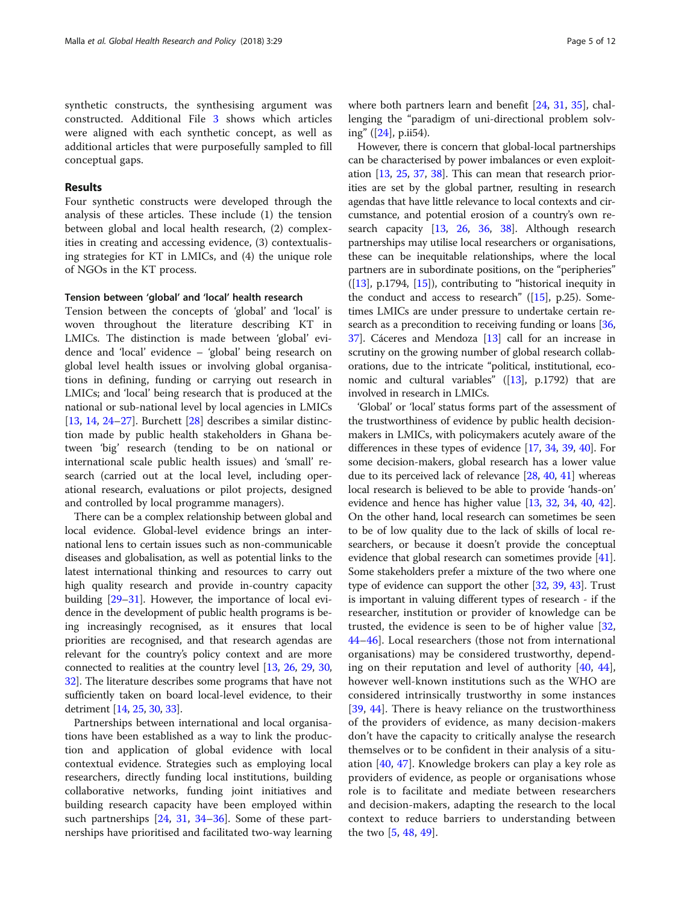synthetic constructs, the synthesising argument was constructed. Additional File [3](#page-8-0) shows which articles were aligned with each synthetic concept, as well as additional articles that were purposefully sampled to fill conceptual gaps.

# Results

Four synthetic constructs were developed through the analysis of these articles. These include (1) the tension between global and local health research, (2) complexities in creating and accessing evidence, (3) contextualising strategies for KT in LMICs, and (4) the unique role of NGOs in the KT process.

# Tension between 'global' and 'local' health research

Tension between the concepts of 'global' and 'local' is woven throughout the literature describing KT in LMICs. The distinction is made between 'global' evidence and 'local' evidence – 'global' being research on global level health issues or involving global organisations in defining, funding or carrying out research in LMICs; and 'local' being research that is produced at the national or sub-national level by local agencies in LMICs [[13,](#page-8-0) [14,](#page-8-0) [24](#page-9-0)–[27](#page-9-0)]. Burchett [\[28](#page-9-0)] describes a similar distinction made by public health stakeholders in Ghana between 'big' research (tending to be on national or international scale public health issues) and 'small' research (carried out at the local level, including operational research, evaluations or pilot projects, designed and controlled by local programme managers).

There can be a complex relationship between global and local evidence. Global-level evidence brings an international lens to certain issues such as non-communicable diseases and globalisation, as well as potential links to the latest international thinking and resources to carry out high quality research and provide in-country capacity building [[29](#page-9-0)–[31](#page-9-0)]. However, the importance of local evidence in the development of public health programs is being increasingly recognised, as it ensures that local priorities are recognised, and that research agendas are relevant for the country's policy context and are more connected to realities at the country level [\[13,](#page-8-0) [26](#page-9-0), [29](#page-9-0), [30](#page-9-0), [32](#page-9-0)]. The literature describes some programs that have not sufficiently taken on board local-level evidence, to their detriment [[14](#page-8-0), [25,](#page-9-0) [30](#page-9-0), [33](#page-9-0)].

Partnerships between international and local organisations have been established as a way to link the production and application of global evidence with local contextual evidence. Strategies such as employing local researchers, directly funding local institutions, building collaborative networks, funding joint initiatives and building research capacity have been employed within such partnerships [[24,](#page-9-0) [31](#page-9-0), [34](#page-9-0)–[36](#page-9-0)]. Some of these partnerships have prioritised and facilitated two-way learning

where both partners learn and benefit [[24,](#page-9-0) [31](#page-9-0), [35\]](#page-9-0), challenging the "paradigm of uni-directional problem solving" ([\[24](#page-9-0)], p.ii54).

However, there is concern that global-local partnerships can be characterised by power imbalances or even exploitation [\[13](#page-8-0), [25](#page-9-0), [37](#page-9-0), [38\]](#page-9-0). This can mean that research priorities are set by the global partner, resulting in research agendas that have little relevance to local contexts and circumstance, and potential erosion of a country's own research capacity [\[13,](#page-8-0) [26](#page-9-0), [36](#page-9-0), [38](#page-9-0)]. Although research partnerships may utilise local researchers or organisations, these can be inequitable relationships, where the local partners are in subordinate positions, on the "peripheries"  $([13], p.1794, [15])$  $([13], p.1794, [15])$  $([13], p.1794, [15])$  $([13], p.1794, [15])$  $([13], p.1794, [15])$ , contributing to "historical inequity in the conduct and access to research"  $(15)$ , p.25). Sometimes LMICs are under pressure to undertake certain re-search as a precondition to receiving funding or loans [[36](#page-9-0), [37](#page-9-0)]. Cáceres and Mendoza [[13\]](#page-8-0) call for an increase in scrutiny on the growing number of global research collaborations, due to the intricate "political, institutional, economic and cultural variables" ([\[13\]](#page-8-0), p.1792) that are involved in research in LMICs.

'Global' or 'local' status forms part of the assessment of the trustworthiness of evidence by public health decisionmakers in LMICs, with policymakers acutely aware of the differences in these types of evidence [[17,](#page-8-0) [34](#page-9-0), [39](#page-9-0), [40](#page-9-0)]. For some decision-makers, global research has a lower value due to its perceived lack of relevance [[28](#page-9-0), [40](#page-9-0), [41\]](#page-9-0) whereas local research is believed to be able to provide 'hands-on' evidence and hence has higher value [\[13,](#page-8-0) [32](#page-9-0), [34,](#page-9-0) [40](#page-9-0), [42](#page-9-0)]. On the other hand, local research can sometimes be seen to be of low quality due to the lack of skills of local researchers, or because it doesn't provide the conceptual evidence that global research can sometimes provide [[41](#page-9-0)]. Some stakeholders prefer a mixture of the two where one type of evidence can support the other [[32](#page-9-0), [39](#page-9-0), [43](#page-9-0)]. Trust is important in valuing different types of research - if the researcher, institution or provider of knowledge can be trusted, the evidence is seen to be of higher value [\[32](#page-9-0), [44](#page-9-0)–[46\]](#page-9-0). Local researchers (those not from international organisations) may be considered trustworthy, depending on their reputation and level of authority  $[40, 44]$  $[40, 44]$  $[40, 44]$  $[40, 44]$  $[40, 44]$ , however well-known institutions such as the WHO are considered intrinsically trustworthy in some instances [[39,](#page-9-0) [44\]](#page-9-0). There is heavy reliance on the trustworthiness of the providers of evidence, as many decision-makers don't have the capacity to critically analyse the research themselves or to be confident in their analysis of a situation [[40](#page-9-0), [47](#page-9-0)]. Knowledge brokers can play a key role as providers of evidence, as people or organisations whose role is to facilitate and mediate between researchers and decision-makers, adapting the research to the local context to reduce barriers to understanding between the two [\[5](#page-8-0), [48,](#page-9-0) [49\]](#page-9-0).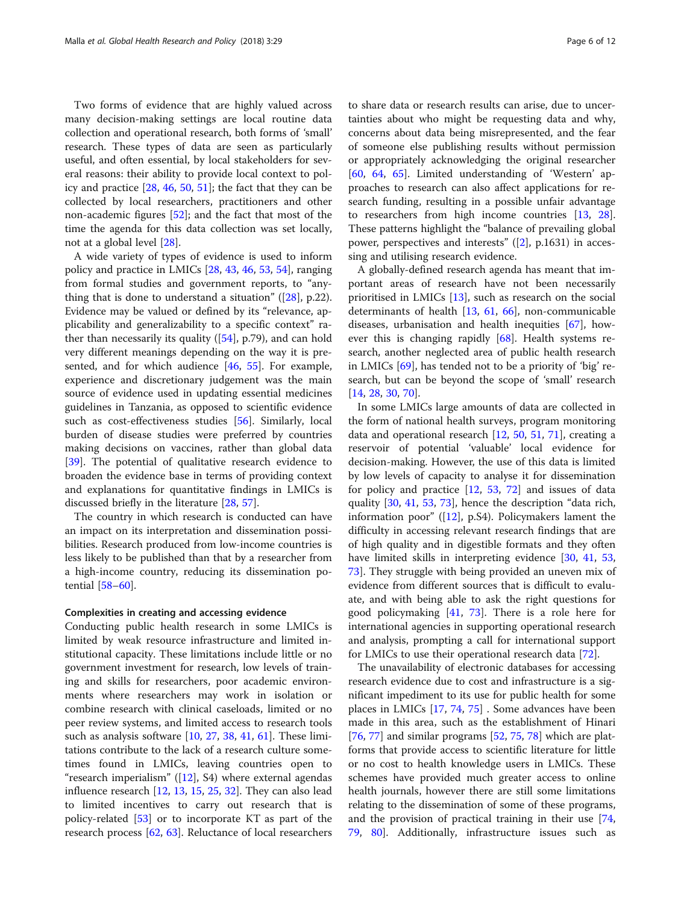Two forms of evidence that are highly valued across many decision-making settings are local routine data collection and operational research, both forms of 'small' research. These types of data are seen as particularly useful, and often essential, by local stakeholders for several reasons: their ability to provide local context to policy and practice [[28](#page-9-0), [46](#page-9-0), [50](#page-9-0), [51](#page-9-0)]; the fact that they can be collected by local researchers, practitioners and other non-academic figures [\[52](#page-9-0)]; and the fact that most of the time the agenda for this data collection was set locally, not at a global level [\[28](#page-9-0)].

A wide variety of types of evidence is used to inform policy and practice in LMICs [\[28](#page-9-0), [43,](#page-9-0) [46,](#page-9-0) [53,](#page-9-0) [54](#page-9-0)], ranging from formal studies and government reports, to "anything that is done to understand a situation" ([[28\]](#page-9-0), p.22). Evidence may be valued or defined by its "relevance, applicability and generalizability to a specific context" rather than necessarily its quality  $([54], p.79)$  $([54], p.79)$  $([54], p.79)$ , and can hold very different meanings depending on the way it is presented, and for which audience [\[46](#page-9-0), [55\]](#page-9-0). For example, experience and discretionary judgement was the main source of evidence used in updating essential medicines guidelines in Tanzania, as opposed to scientific evidence such as cost-effectiveness studies [[56](#page-9-0)]. Similarly, local burden of disease studies were preferred by countries making decisions on vaccines, rather than global data [[39\]](#page-9-0). The potential of qualitative research evidence to broaden the evidence base in terms of providing context and explanations for quantitative findings in LMICs is discussed briefly in the literature [[28,](#page-9-0) [57](#page-9-0)].

The country in which research is conducted can have an impact on its interpretation and dissemination possibilities. Research produced from low-income countries is less likely to be published than that by a researcher from a high-income country, reducing its dissemination potential [\[58](#page-9-0)–[60](#page-9-0)].

# Complexities in creating and accessing evidence

Conducting public health research in some LMICs is limited by weak resource infrastructure and limited institutional capacity. These limitations include little or no government investment for research, low levels of training and skills for researchers, poor academic environments where researchers may work in isolation or combine research with clinical caseloads, limited or no peer review systems, and limited access to research tools such as analysis software [\[10,](#page-8-0) [27,](#page-9-0) [38](#page-9-0), [41](#page-9-0), [61](#page-10-0)]. These limitations contribute to the lack of a research culture sometimes found in LMICs, leaving countries open to "research imperialism" ( $[12]$  $[12]$ , S4) where external agendas influence research [\[12,](#page-8-0) [13,](#page-8-0) [15,](#page-8-0) [25,](#page-9-0) [32](#page-9-0)]. They can also lead to limited incentives to carry out research that is policy-related [[53\]](#page-9-0) or to incorporate KT as part of the research process [[62](#page-10-0), [63](#page-10-0)]. Reluctance of local researchers

to share data or research results can arise, due to uncertainties about who might be requesting data and why, concerns about data being misrepresented, and the fear of someone else publishing results without permission or appropriately acknowledging the original researcher [[60,](#page-9-0) [64,](#page-10-0) [65](#page-10-0)]. Limited understanding of 'Western' approaches to research can also affect applications for research funding, resulting in a possible unfair advantage to researchers from high income countries [\[13](#page-8-0), [28](#page-9-0)]. These patterns highlight the "balance of prevailing global power, perspectives and interests" ([[2](#page-8-0)], p.1631) in accessing and utilising research evidence.

A globally-defined research agenda has meant that important areas of research have not been necessarily prioritised in LMICs [\[13\]](#page-8-0), such as research on the social determinants of health [[13](#page-8-0), [61](#page-10-0), [66\]](#page-10-0), non-communicable diseases, urbanisation and health inequities [[67](#page-10-0)], however this is changing rapidly [\[68](#page-10-0)]. Health systems research, another neglected area of public health research in LMICs [[69\]](#page-10-0), has tended not to be a priority of 'big' research, but can be beyond the scope of 'small' research [[14,](#page-8-0) [28,](#page-9-0) [30,](#page-9-0) [70](#page-10-0)].

In some LMICs large amounts of data are collected in the form of national health surveys, program monitoring data and operational research [[12](#page-8-0), [50,](#page-9-0) [51](#page-9-0), [71](#page-10-0)], creating a reservoir of potential 'valuable' local evidence for decision-making. However, the use of this data is limited by low levels of capacity to analyse it for dissemination for policy and practice [[12,](#page-8-0) [53](#page-9-0), [72\]](#page-10-0) and issues of data quality [[30,](#page-9-0) [41](#page-9-0), [53,](#page-9-0) [73\]](#page-10-0), hence the description "data rich, information poor" ([\[12\]](#page-8-0), p.S4). Policymakers lament the difficulty in accessing relevant research findings that are of high quality and in digestible formats and they often have limited skills in interpreting evidence [[30,](#page-9-0) [41,](#page-9-0) [53](#page-9-0), [73\]](#page-10-0). They struggle with being provided an uneven mix of evidence from different sources that is difficult to evaluate, and with being able to ask the right questions for good policymaking [\[41](#page-9-0), [73](#page-10-0)]. There is a role here for international agencies in supporting operational research and analysis, prompting a call for international support for LMICs to use their operational research data [[72](#page-10-0)].

The unavailability of electronic databases for accessing research evidence due to cost and infrastructure is a significant impediment to its use for public health for some places in LMICs [\[17,](#page-8-0) [74](#page-10-0), [75\]](#page-10-0) . Some advances have been made in this area, such as the establishment of Hinari [[76,](#page-10-0) [77\]](#page-10-0) and similar programs  $[52, 75, 78]$  $[52, 75, 78]$  $[52, 75, 78]$  $[52, 75, 78]$  $[52, 75, 78]$  $[52, 75, 78]$  $[52, 75, 78]$  which are platforms that provide access to scientific literature for little or no cost to health knowledge users in LMICs. These schemes have provided much greater access to online health journals, however there are still some limitations relating to the dissemination of some of these programs, and the provision of practical training in their use [[74](#page-10-0), [79,](#page-10-0) [80](#page-10-0)]. Additionally, infrastructure issues such as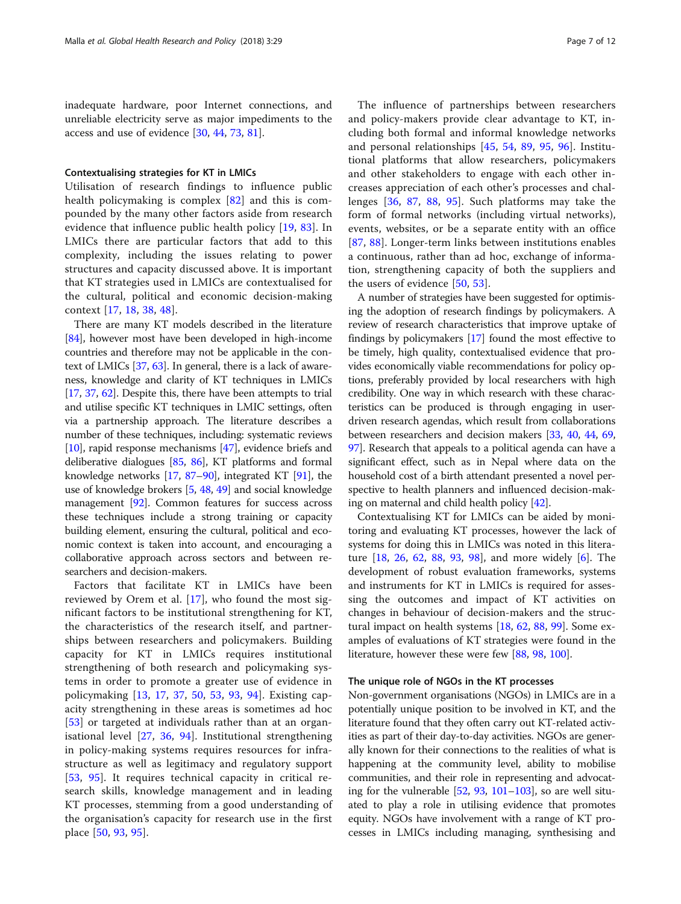inadequate hardware, poor Internet connections, and unreliable electricity serve as major impediments to the access and use of evidence [[30](#page-9-0), [44](#page-9-0), [73](#page-10-0), [81](#page-10-0)].

# Contextualising strategies for KT in LMICs

Utilisation of research findings to influence public health policymaking is complex [[82](#page-10-0)] and this is compounded by the many other factors aside from research evidence that influence public health policy [\[19](#page-9-0), [83\]](#page-10-0). In LMICs there are particular factors that add to this complexity, including the issues relating to power structures and capacity discussed above. It is important that KT strategies used in LMICs are contextualised for the cultural, political and economic decision-making context [\[17](#page-8-0), [18](#page-8-0), [38,](#page-9-0) [48\]](#page-9-0).

There are many KT models described in the literature [[84](#page-10-0)], however most have been developed in high-income countries and therefore may not be applicable in the context of LMICs [[37](#page-9-0), [63\]](#page-10-0). In general, there is a lack of awareness, knowledge and clarity of KT techniques in LMICs [[17](#page-8-0), [37](#page-9-0), [62\]](#page-10-0). Despite this, there have been attempts to trial and utilise specific KT techniques in LMIC settings, often via a partnership approach. The literature describes a number of these techniques, including: systematic reviews [[10](#page-8-0)], rapid response mechanisms [\[47\]](#page-9-0), evidence briefs and deliberative dialogues [\[85,](#page-10-0) [86\]](#page-10-0), KT platforms and formal knowledge networks [[17](#page-8-0), [87](#page-10-0)–[90](#page-10-0)], integrated KT [\[91](#page-10-0)], the use of knowledge brokers [\[5,](#page-8-0) [48](#page-9-0), [49](#page-9-0)] and social knowledge management [\[92](#page-10-0)]. Common features for success across these techniques include a strong training or capacity building element, ensuring the cultural, political and economic context is taken into account, and encouraging a collaborative approach across sectors and between researchers and decision-makers.

Factors that facilitate KT in LMICs have been reviewed by Orem et al. [\[17](#page-8-0)], who found the most significant factors to be institutional strengthening for KT, the characteristics of the research itself, and partnerships between researchers and policymakers. Building capacity for KT in LMICs requires institutional strengthening of both research and policymaking systems in order to promote a greater use of evidence in policymaking [\[13](#page-8-0), [17](#page-8-0), [37,](#page-9-0) [50,](#page-9-0) [53,](#page-9-0) [93](#page-10-0), [94](#page-10-0)]. Existing capacity strengthening in these areas is sometimes ad hoc [[53\]](#page-9-0) or targeted at individuals rather than at an organisational level [\[27](#page-9-0), [36](#page-9-0), [94](#page-10-0)]. Institutional strengthening in policy-making systems requires resources for infrastructure as well as legitimacy and regulatory support [[53,](#page-9-0) [95\]](#page-10-0). It requires technical capacity in critical research skills, knowledge management and in leading KT processes, stemming from a good understanding of the organisation's capacity for research use in the first place [\[50](#page-9-0), [93](#page-10-0), [95\]](#page-10-0).

The influence of partnerships between researchers and policy-makers provide clear advantage to KT, including both formal and informal knowledge networks and personal relationships [\[45,](#page-9-0) [54,](#page-9-0) [89,](#page-10-0) [95](#page-10-0), [96](#page-10-0)]. Institutional platforms that allow researchers, policymakers and other stakeholders to engage with each other increases appreciation of each other's processes and challenges [[36,](#page-9-0) [87](#page-10-0), [88](#page-10-0), [95](#page-10-0)]. Such platforms may take the form of formal networks (including virtual networks), events, websites, or be a separate entity with an office [[87,](#page-10-0) [88](#page-10-0)]. Longer-term links between institutions enables a continuous, rather than ad hoc, exchange of information, strengthening capacity of both the suppliers and the users of evidence [[50,](#page-9-0) [53\]](#page-9-0).

A number of strategies have been suggested for optimising the adoption of research findings by policymakers. A review of research characteristics that improve uptake of findings by policymakers [[17](#page-8-0)] found the most effective to be timely, high quality, contextualised evidence that provides economically viable recommendations for policy options, preferably provided by local researchers with high credibility. One way in which research with these characteristics can be produced is through engaging in userdriven research agendas, which result from collaborations between researchers and decision makers [[33](#page-9-0), [40,](#page-9-0) [44](#page-9-0), [69](#page-10-0), [97](#page-10-0)]. Research that appeals to a political agenda can have a significant effect, such as in Nepal where data on the household cost of a birth attendant presented a novel perspective to health planners and influenced decision-making on maternal and child health policy [\[42\]](#page-9-0).

Contextualising KT for LMICs can be aided by monitoring and evaluating KT processes, however the lack of systems for doing this in LMICs was noted in this literature [[18,](#page-8-0) [26,](#page-9-0) [62](#page-10-0), [88](#page-10-0), [93,](#page-10-0) [98\]](#page-10-0), and more widely [[6\]](#page-8-0). The development of robust evaluation frameworks, systems and instruments for KT in LMICs is required for assessing the outcomes and impact of KT activities on changes in behaviour of decision-makers and the structural impact on health systems [\[18,](#page-8-0) [62,](#page-10-0) [88,](#page-10-0) [99\]](#page-10-0). Some examples of evaluations of KT strategies were found in the literature, however these were few [[88,](#page-10-0) [98,](#page-10-0) [100](#page-10-0)].

# The unique role of NGOs in the KT processes

Non-government organisations (NGOs) in LMICs are in a potentially unique position to be involved in KT, and the literature found that they often carry out KT-related activities as part of their day-to-day activities. NGOs are generally known for their connections to the realities of what is happening at the community level, ability to mobilise communities, and their role in representing and advocating for the vulnerable [[52](#page-9-0), [93](#page-10-0), [101](#page-10-0)–[103\]](#page-11-0), so are well situated to play a role in utilising evidence that promotes equity. NGOs have involvement with a range of KT processes in LMICs including managing, synthesising and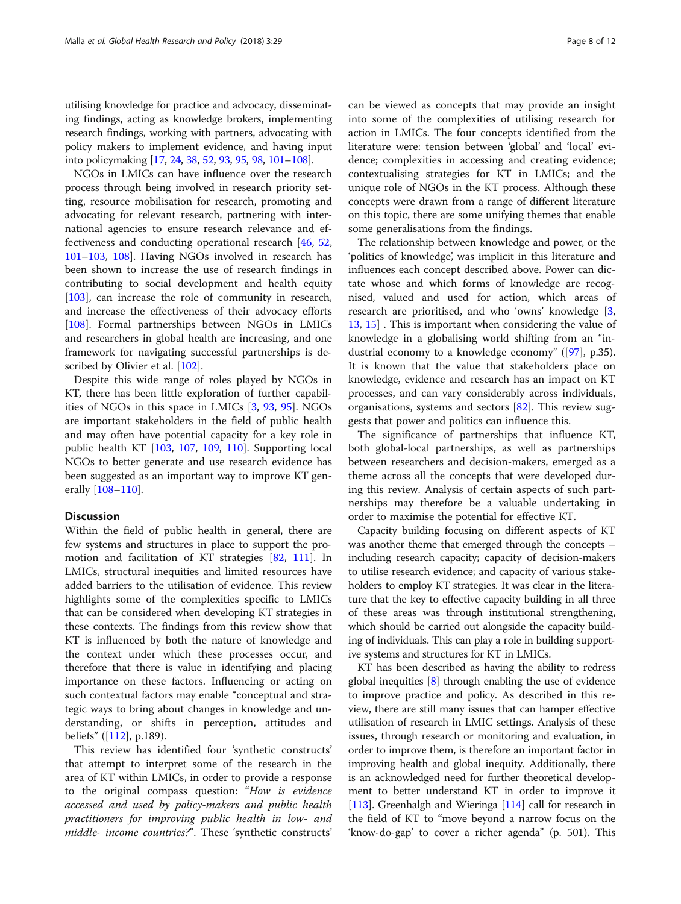utilising knowledge for practice and advocacy, disseminating findings, acting as knowledge brokers, implementing research findings, working with partners, advocating with policy makers to implement evidence, and having input into policymaking [\[17,](#page-8-0) [24](#page-9-0), [38,](#page-9-0) [52,](#page-9-0) [93](#page-10-0), [95,](#page-10-0) [98,](#page-10-0) [101](#page-10-0)–[108](#page-11-0)].

NGOs in LMICs can have influence over the research process through being involved in research priority setting, resource mobilisation for research, promoting and advocating for relevant research, partnering with international agencies to ensure research relevance and effectiveness and conducting operational research [[46,](#page-9-0) [52](#page-9-0), [101](#page-10-0)–[103](#page-11-0), [108](#page-11-0)]. Having NGOs involved in research has been shown to increase the use of research findings in contributing to social development and health equity [[103\]](#page-11-0), can increase the role of community in research, and increase the effectiveness of their advocacy efforts [[108\]](#page-11-0). Formal partnerships between NGOs in LMICs and researchers in global health are increasing, and one framework for navigating successful partnerships is de-scribed by Olivier et al. [[102\]](#page-10-0).

Despite this wide range of roles played by NGOs in KT, there has been little exploration of further capabilities of NGOs in this space in LMICs [[3,](#page-8-0) [93](#page-10-0), [95\]](#page-10-0). NGOs are important stakeholders in the field of public health and may often have potential capacity for a key role in public health KT [\[103](#page-11-0), [107,](#page-11-0) [109,](#page-11-0) [110\]](#page-11-0). Supporting local NGOs to better generate and use research evidence has been suggested as an important way to improve KT generally [[108](#page-11-0)–[110](#page-11-0)].

# **Discussion**

Within the field of public health in general, there are few systems and structures in place to support the promotion and facilitation of KT strategies [[82,](#page-10-0) [111](#page-11-0)]. In LMICs, structural inequities and limited resources have added barriers to the utilisation of evidence. This review highlights some of the complexities specific to LMICs that can be considered when developing KT strategies in these contexts. The findings from this review show that KT is influenced by both the nature of knowledge and the context under which these processes occur, and therefore that there is value in identifying and placing importance on these factors. Influencing or acting on such contextual factors may enable "conceptual and strategic ways to bring about changes in knowledge and understanding, or shifts in perception, attitudes and beliefs" ([\[112\]](#page-11-0), p.189).

This review has identified four 'synthetic constructs' that attempt to interpret some of the research in the area of KT within LMICs, in order to provide a response to the original compass question: "How is evidence accessed and used by policy-makers and public health practitioners for improving public health in low- and middle- income countries?". These 'synthetic constructs'

can be viewed as concepts that may provide an insight into some of the complexities of utilising research for action in LMICs. The four concepts identified from the literature were: tension between 'global' and 'local' evidence; complexities in accessing and creating evidence; contextualising strategies for KT in LMICs; and the unique role of NGOs in the KT process. Although these concepts were drawn from a range of different literature on this topic, there are some unifying themes that enable some generalisations from the findings.

The relationship between knowledge and power, or the 'politics of knowledge', was implicit in this literature and influences each concept described above. Power can dictate whose and which forms of knowledge are recognised, valued and used for action, which areas of research are prioritised, and who 'owns' knowledge [\[3](#page-8-0), [13,](#page-8-0) [15](#page-8-0)] . This is important when considering the value of knowledge in a globalising world shifting from an "industrial economy to a knowledge economy" ([\[97](#page-10-0)], p.35). It is known that the value that stakeholders place on knowledge, evidence and research has an impact on KT processes, and can vary considerably across individuals, organisations, systems and sectors [[82\]](#page-10-0). This review suggests that power and politics can influence this.

The significance of partnerships that influence KT, both global-local partnerships, as well as partnerships between researchers and decision-makers, emerged as a theme across all the concepts that were developed during this review. Analysis of certain aspects of such partnerships may therefore be a valuable undertaking in order to maximise the potential for effective KT.

Capacity building focusing on different aspects of KT was another theme that emerged through the concepts – including research capacity; capacity of decision-makers to utilise research evidence; and capacity of various stakeholders to employ KT strategies. It was clear in the literature that the key to effective capacity building in all three of these areas was through institutional strengthening, which should be carried out alongside the capacity building of individuals. This can play a role in building supportive systems and structures for KT in LMICs.

KT has been described as having the ability to redress global inequities [[8\]](#page-8-0) through enabling the use of evidence to improve practice and policy. As described in this review, there are still many issues that can hamper effective utilisation of research in LMIC settings. Analysis of these issues, through research or monitoring and evaluation, in order to improve them, is therefore an important factor in improving health and global inequity. Additionally, there is an acknowledged need for further theoretical development to better understand KT in order to improve it [[113](#page-11-0)]. Greenhalgh and Wieringa [[114](#page-11-0)] call for research in the field of KT to "move beyond a narrow focus on the 'know-do-gap' to cover a richer agenda" (p. 501). This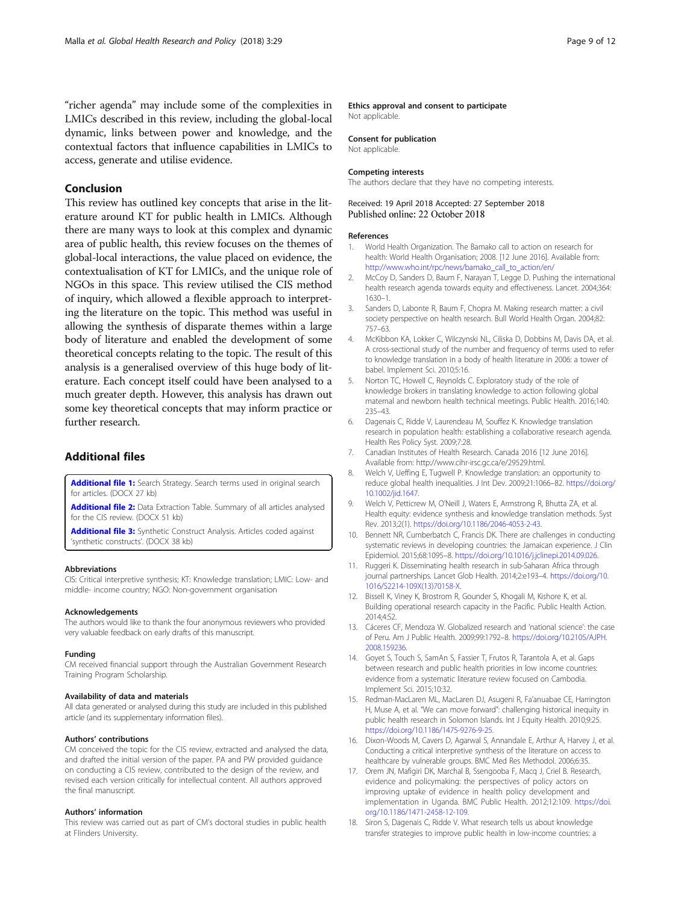<span id="page-8-0"></span>"richer agenda" may include some of the complexities in LMICs described in this review, including the global-local dynamic, links between power and knowledge, and the contextual factors that influence capabilities in LMICs to access, generate and utilise evidence.

# Conclusion

This review has outlined key concepts that arise in the literature around KT for public health in LMICs. Although there are many ways to look at this complex and dynamic area of public health, this review focuses on the themes of global-local interactions, the value placed on evidence, the contextualisation of KT for LMICs, and the unique role of NGOs in this space. This review utilised the CIS method of inquiry, which allowed a flexible approach to interpreting the literature on the topic. This method was useful in allowing the synthesis of disparate themes within a large body of literature and enabled the development of some theoretical concepts relating to the topic. The result of this analysis is a generalised overview of this huge body of literature. Each concept itself could have been analysed to a much greater depth. However, this analysis has drawn out some key theoretical concepts that may inform practice or further research.

# Additional files

[Additional file 1:](https://doi.org/10.1186/s41256-018-0084-9) Search Strategy. Search terms used in original search for articles. (DOCX 27 kb)

[Additional file 2:](https://doi.org/10.1186/s41256-018-0084-9) Data Extraction Table. Summary of all articles analysed for the CIS review. (DOCX 51 kb)

[Additional file 3:](https://doi.org/10.1186/s41256-018-0084-9) Synthetic Construct Analysis. Articles coded against 'synthetic constructs'. (DOCX 38 kb)

#### Abbreviations

CIS: Critical interpretive synthesis; KT: Knowledge translation; LMIC: Low- and middle- income country; NGO: Non-government organisation

#### Acknowledgements

The authors would like to thank the four anonymous reviewers who provided very valuable feedback on early drafts of this manuscript.

# Funding

CM received financial support through the Australian Government Research Training Program Scholarship.

# Availability of data and materials

All data generated or analysed during this study are included in this published article (and its supplementary information files).

#### Authors' contributions

CM conceived the topic for the CIS review, extracted and analysed the data, and drafted the initial version of the paper. PA and PW provided guidance on conducting a CIS review, contributed to the design of the review, and revised each version critically for intellectual content. All authors approved the final manuscript.

#### Authors' information

This review was carried out as part of CM's doctoral studies in public health at Flinders University.

#### Ethics approval and consent to participate Not applicable.

# Consent for publication

Not applicable.

# Competing interests

The authors declare that they have no competing interests.

# Received: 19 April 2018 Accepted: 27 September 2018 Published online: 22 October 2018

#### References

- 1. World Health Organization. The Bamako call to action on research for health: World Health Organisation; 2008. [12 June 2016]. Available from: [http://www.who.int/rpc/news/bamako\\_call\\_to\\_action/en/](http://www.who.int/rpc/news/bamako_call_to_action/en/)
- 2. McCoy D, Sanders D, Baum F, Narayan T, Legge D. Pushing the international health research agenda towards equity and effectiveness. Lancet. 2004;364: 1630–1.
- 3. Sanders D, Labonte R, Baum F, Chopra M. Making research matter: a civil society perspective on health research. Bull World Health Organ. 2004;82: 757–63.
- 4. McKibbon KA, Lokker C, Wilczynski NL, Ciliska D, Dobbins M, Davis DA, et al. A cross-sectional study of the number and frequency of terms used to refer to knowledge translation in a body of health literature in 2006: a tower of babel. Implement Sci. 2010;5:16.
- 5. Norton TC, Howell C, Reynolds C. Exploratory study of the role of knowledge brokers in translating knowledge to action following global maternal and newborn health technical meetings. Public Health. 2016;140: 235–43.
- 6. Dagenais C, Ridde V, Laurendeau M, Souffez K. Knowledge translation research in population health: establishing a collaborative research agenda. Health Res Policy Syst. 2009;7:28.
- 7. Canadian Institutes of Health Research. Canada 2016 [12 June 2016]. Available from: http://www.cihr-irsc.gc.ca/e/29529.html.
- 8. Welch V, Ueffing E, Tugwell P. Knowledge translation: an opportunity to reduce global health inequalities. J Int Dev. 2009;21:1066–82. [https://doi.org/](https://doi.org/10.1002/jid.1647) [10.1002/jid.1647](https://doi.org/10.1002/jid.1647).
- 9. Welch V, Petticrew M, O'Neill J, Waters E, Armstrong R, Bhutta ZA, et al. Health equity: evidence synthesis and knowledge translation methods. Syst Rev. 2013;2(1). [https://doi.org/10.1186/2046-4053-2-43.](https://doi.org/10.1186/2046-4053-2-43)
- 10. Bennett NR, Cumberbatch C, Francis DK. There are challenges in conducting systematic reviews in developing countries: the Jamaican experience. J Clin Epidemiol. 2015;68:1095–8. [https://doi.org/10.1016/j.jclinepi.2014.09.026.](https://doi.org/10.1016/j.jclinepi.2014.09.026)
- 11. Ruggeri K. Disseminating health research in sub-Saharan Africa through journal partnerships. Lancet Glob Health. 2014;2:e193–4. [https://doi.org/10.](https://doi.org/10.1016/S2214-109X(13)70158-X) [1016/S2214-109X\(13\)70158-X](https://doi.org/10.1016/S2214-109X(13)70158-X).
- 12. Bissell K, Viney K, Brostrom R, Gounder S, Khogali M, Kishore K, et al. Building operational research capacity in the Pacific. Public Health Action. 2014;4:S2.
- 13. Cáceres CF, Mendoza W. Globalized research and 'national science': the case of Peru. Am J Public Health. 2009;99:1792–8. [https://doi.org/10.2105/AJPH.](https://doi.org/10.2105/AJPH.2008.159236) [2008.159236](https://doi.org/10.2105/AJPH.2008.159236).
- 14. Goyet S, Touch S, SamAn S, Fassier T, Frutos R, Tarantola A, et al. Gaps between research and public health priorities in low income countries: evidence from a systematic literature review focused on Cambodia. Implement Sci. 2015;10:32.
- 15. Redman-MacLaren ML, MacLaren DJ, Asugeni R, Fa'anuabae CE, Harrington H, Muse A, et al. "We can move forward": challenging historical inequity in public health research in Solomon Islands. Int J Equity Health. 2010;9:25. [https://doi.org/10.1186/1475-9276-9-25.](https://doi.org/10.1186/1475-9276-9-25)
- 16. Dixon-Woods M, Cavers D, Agarwal S, Annandale E, Arthur A, Harvey J, et al. Conducting a critical interpretive synthesis of the literature on access to healthcare by vulnerable groups. BMC Med Res Methodol. 2006;6:35.
- 17. Orem JN, Mafigiri DK, Marchal B, Ssengooba F, Macq J, Criel B. Research, evidence and policymaking: the perspectives of policy actors on improving uptake of evidence in health policy development and implementation in Uganda. BMC Public Health. 2012;12:109. [https://doi.](https://doi.org/10.1186/1471-2458-12-109) [org/10.1186/1471-2458-12-109](https://doi.org/10.1186/1471-2458-12-109).
- 18. Siron S, Dagenais C, Ridde V. What research tells us about knowledge transfer strategies to improve public health in low-income countries: a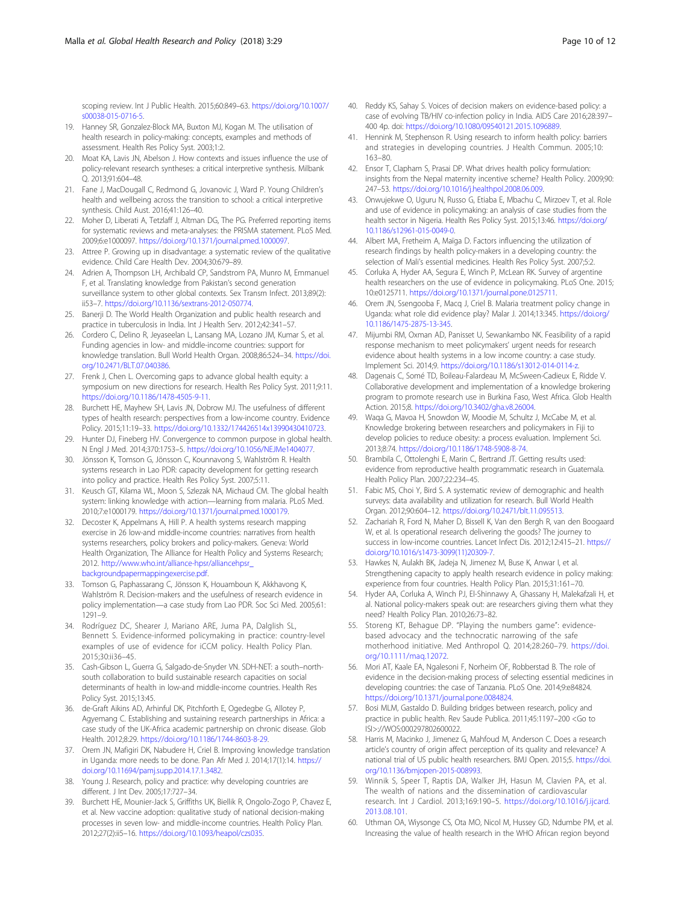<span id="page-9-0"></span>scoping review. Int J Public Health. 2015;60:849–63. [https://doi.org/10.1007/](https://doi.org/10.1007/s00038-015-0716-5) [s00038-015-0716-5.](https://doi.org/10.1007/s00038-015-0716-5)

- 19. Hanney SR, Gonzalez-Block MA, Buxton MJ, Kogan M. The utilisation of health research in policy-making: concepts, examples and methods of assessment. Health Res Policy Syst. 2003;1:2.
- 20. Moat KA, Lavis JN, Abelson J. How contexts and issues influence the use of policy-relevant research syntheses: a critical interpretive synthesis. Milbank Q. 2013;91:604–48.
- 21. Fane J, MacDougall C, Redmond G, Jovanovic J, Ward P, Young Children's health and wellbeing across the transition to school: a critical interpretive synthesis. Child Aust. 2016;41:126–40.
- 22. Moher D, Liberati A, Tetzlaff J, Altman DG, The PG, Preferred reporting items for systematic reviews and meta-analyses: the PRISMA statement. PLoS Med. 2009;6:e1000097. [https://doi.org/10.1371/journal.pmed.1000097.](https://doi.org/10.1371/journal.pmed.1000097)
- 23. Attree P. Growing up in disadvantage: a systematic review of the qualitative evidence. Child Care Health Dev. 2004;30:679–89.
- 24. Adrien A, Thompson LH, Archibald CP, Sandstrom PA, Munro M, Emmanuel F, et al. Translating knowledge from Pakistan's second generation surveillance system to other global contexts. Sex Transm Infect. 2013;89(2): ii53–7. <https://doi.org/10.1136/sextrans-2012-050774>.
- 25. Banerji D. The World Health Organization and public health research and practice in tuberculosis in India. Int J Health Serv. 2012;42:341–57.
- 26. Cordero C, Delino R, Jeyaseelan L, Lansang MA, Lozano JM, Kumar S, et al. Funding agencies in low- and middle-income countries: support for knowledge translation. Bull World Health Organ. 2008;86:524–34. [https://doi.](https://doi.org/10.2471/BLT.07.040386) [org/10.2471/BLT.07.040386.](https://doi.org/10.2471/BLT.07.040386)
- 27. Frenk J, Chen L. Overcoming gaps to advance global health equity: a symposium on new directions for research. Health Res Policy Syst. 2011;9:11. [https://doi.org/10.1186/1478-4505-9-11.](https://doi.org/10.1186/1478-4505-9-11)
- 28. Burchett HE, Mayhew SH, Lavis JN, Dobrow MJ. The usefulness of different types of health research: perspectives from a low-income country. Evidence Policy. 2015;11:19–33. [https://doi.org/10.1332/174426514x13990430410723.](https://doi.org/10.1332/174426514x13990430410723)
- 29. Hunter DJ, Fineberg HV. Convergence to common purpose in global health. N Engl J Med. 2014;370:1753–5. [https://doi.org/10.1056/NEJMe1404077.](https://doi.org/10.1056/NEJMe1404077)
- 30. Jönsson K, Tomson G, Jönsson C, Kounnavong S, Wahlström R. Health systems research in Lao PDR: capacity development for getting research into policy and practice. Health Res Policy Syst. 2007;5:11.
- 31. Keusch GT, Kilama WL, Moon S, Szlezak NA, Michaud CM. The global health system: linking knowledge with action—learning from malaria. PLoS Med. 2010;7:e1000179. [https://doi.org/10.1371/journal.pmed.1000179.](https://doi.org/10.1371/journal.pmed.1000179)
- 32. Decoster K, Appelmans A, Hill P. A health systems research mapping exercise in 26 low-and middle-income countries: narratives from health systems researchers, policy brokers and policy-makers. Geneva: World Health Organization, The Alliance for Health Policy and Systems Research; 2012. [http://www.who.int/alliance-hpsr/alliancehpsr\\_](http://www.who.int/alliance-hpsr/alliancehpsr_backgroundpapermappingexercise.pdf) [backgroundpapermappingexercise.pdf](http://www.who.int/alliance-hpsr/alliancehpsr_backgroundpapermappingexercise.pdf).
- 33. Tomson G, Paphassarang C, Jönsson K, Houamboun K, Akkhavong K, Wahlström R. Decision-makers and the usefulness of research evidence in policy implementation—a case study from Lao PDR. Soc Sci Med. 2005;61: 1291–9.
- 34. Rodríguez DC, Shearer J, Mariano ARE, Juma PA, Dalglish SL, Bennett S. Evidence-informed policymaking in practice: country-level examples of use of evidence for iCCM policy. Health Policy Plan. 2015;30:ii36–45.
- 35. Cash-Gibson L, Guerra G, Salgado-de-Snyder VN. SDH-NET: a south–northsouth collaboration to build sustainable research capacities on social determinants of health in low-and middle-income countries. Health Res Policy Syst. 2015;13:45.
- 36. de-Graft Aikins AD, Arhinful DK, Pitchforth E, Ogedegbe G, Allotey P, Agyemang C. Establishing and sustaining research partnerships in Africa: a case study of the UK-Africa academic partnership on chronic disease. Glob Health. 2012;8:29. <https://doi.org/10.1186/1744-8603-8-29>.
- 37. Orem JN, Mafigiri DK, Nabudere H, Criel B. Improving knowledge translation in Uganda: more needs to be done. Pan Afr Med J. 2014;17(1):14. [https://](https://doi.org/10.11694/pamj.supp.2014.17.1.3482) [doi.org/10.11694/pamj.supp.2014.17.1.3482](https://doi.org/10.11694/pamj.supp.2014.17.1.3482).
- 38. Young J. Research, policy and practice: why developing countries are different. J Int Dev. 2005;17:727–34.
- 39. Burchett HE, Mounier-Jack S, Griffiths UK, Biellik R, Ongolo-Zogo P, Chavez E, et al. New vaccine adoption: qualitative study of national decision-making processes in seven low- and middle-income countries. Health Policy Plan. 2012;27(2):ii5–16. [https://doi.org/10.1093/heapol/czs035.](https://doi.org/10.1093/heapol/czs035)
- 40. Reddy KS, Sahay S. Voices of decision makers on evidence-based policy: a case of evolving TB/HIV co-infection policy in India. AIDS Care 2016;28:397– 400 4p. doi: [https://doi.org/10.1080/09540121.2015.1096889.](https://doi.org/10.1080/09540121.2015.1096889)
- 41. Hennink M, Stephenson R. Using research to inform health policy: barriers and strategies in developing countries. J Health Commun. 2005;10: 163–80.
- 42. Ensor T, Clapham S, Prasai DP. What drives health policy formulation: insights from the Nepal maternity incentive scheme? Health Policy. 2009;90: 247–53. [https://doi.org/10.1016/j.healthpol.2008.06.009.](https://doi.org/10.1016/j.healthpol.2008.06.009)
- 43. Onwujekwe O, Uguru N, Russo G, Etiaba E, Mbachu C, Mirzoev T, et al. Role and use of evidence in policymaking: an analysis of case studies from the health sector in Nigeria. Health Res Policy Syst. 2015;13:46. [https://doi.org/](https://doi.org/10.1186/s12961-015-0049-0) [10.1186/s12961-015-0049-0](https://doi.org/10.1186/s12961-015-0049-0).
- 44. Albert MA, Fretheim A, Maïga D. Factors influencing the utilization of research findings by health policy-makers in a developing country: the selection of Mali's essential medicines. Health Res Policy Syst. 2007;5:2.
- 45. Corluka A, Hyder AA, Segura E, Winch P, McLean RK. Survey of argentine health researchers on the use of evidence in policymaking. PLoS One. 2015; 10:e0125711. <https://doi.org/10.1371/journal.pone.0125711>.
- 46. Orem JN, Ssengooba F, Macq J, Criel B. Malaria treatment policy change in Uganda: what role did evidence play? Malar J. 2014;13:345. [https://doi.org/](https://doi.org/10.1186/1475-2875-13-345) [10.1186/1475-2875-13-345](https://doi.org/10.1186/1475-2875-13-345).
- 47. Mijumbi RM, Oxman AD, Panisset U, Sewankambo NK. Feasibility of a rapid response mechanism to meet policymakers' urgent needs for research evidence about health systems in a low income country: a case study. Implement Sci. 2014;9. [https://doi.org/10.1186/s13012-014-0114-z.](https://doi.org/10.1186/s13012-014-0114-z)
- 48. Dagenais C, Somé TD, Boileau-Falardeau M, McSween-Cadieux E, Ridde V. Collaborative development and implementation of a knowledge brokering program to promote research use in Burkina Faso, West Africa. Glob Health Action. 2015;8. <https://doi.org/10.3402/gha.v8.26004>.
- 49. Waqa G, Mavoa H, Snowdon W, Moodie M, Schultz J, McCabe M, et al. Knowledge brokering between researchers and policymakers in Fiji to develop policies to reduce obesity: a process evaluation. Implement Sci. 2013;8:74. <https://doi.org/10.1186/1748-5908-8-74>.
- 50. Brambila C, Ottolenghi E, Marin C, Bertrand JT. Getting results used: evidence from reproductive health programmatic research in Guatemala. Health Policy Plan. 2007;22:234–45.
- 51. Fabic MS, Choi Y, Bird S. A systematic review of demographic and health surveys: data availability and utilization for research. Bull World Health Organ. 2012;90:604–12. [https://doi.org/10.2471/blt.11.095513.](https://doi.org/10.2471/blt.11.095513)
- 52. Zachariah R, Ford N, Maher D, Bissell K, Van den Bergh R, van den Boogaard W, et al. Is operational research delivering the goods? The journey to success in low-income countries. Lancet Infect Dis. 2012;12:415–21. [https://](https://doi.org/10.1016/s1473-3099(11)20309-7) [doi.org/10.1016/s1473-3099\(11\)20309-7](https://doi.org/10.1016/s1473-3099(11)20309-7).
- 53. Hawkes N, Aulakh BK, Jadeja N, Jimenez M, Buse K, Anwar I, et al. Strengthening capacity to apply health research evidence in policy making: experience from four countries. Health Policy Plan. 2015;31:161–70.
- 54. Hyder AA, Corluka A, Winch PJ, El-Shinnawy A, Ghassany H, Malekafzali H, et al. National policy-makers speak out: are researchers giving them what they need? Health Policy Plan. 2010;26:73–82.
- 55. Storeng KT, Behague DP. "Playing the numbers game": evidencebased advocacy and the technocratic narrowing of the safe motherhood initiative. Med Anthropol Q. 2014;28:260–79. [https://doi.](https://doi.org/10.1111/maq.12072) [org/10.1111/maq.12072](https://doi.org/10.1111/maq.12072).
- 56. Mori AT, Kaale EA, Ngalesoni F, Norheim OF, Robberstad B. The role of evidence in the decision-making process of selecting essential medicines in developing countries: the case of Tanzania. PLoS One. 2014;9:e84824. [https://doi.org/10.1371/journal.pone.0084824.](https://doi.org/10.1371/journal.pone.0084824)
- 57. Bosi MLM, Gastaldo D. Building bridges between research, policy and practice in public health. Rev Saude Publica. 2011;45:1197–200 <Go to ISI>://WOS:000297802600022.
- 58. Harris M, Macinko J, Jimenez G, Mahfoud M, Anderson C. Does a research article's country of origin affect perception of its quality and relevance? A national trial of US public health researchers. BMJ Open. 2015;5. [https://doi.](https://doi.org/10.1136/bmjopen-2015-008993) [org/10.1136/bmjopen-2015-008993](https://doi.org/10.1136/bmjopen-2015-008993).
- 59. Winnik S, Speer T, Raptis DA, Walker JH, Hasun M, Clavien PA, et al. The wealth of nations and the dissemination of cardiovascular research. Int J Cardiol. 2013;169:190–5. [https://doi.org/10.1016/j.ijcard.](https://doi.org/10.1016/j.ijcard.2013.08.101) [2013.08.101.](https://doi.org/10.1016/j.ijcard.2013.08.101)
- 60. Uthman OA, Wiysonge CS, Ota MO, Nicol M, Hussey GD, Ndumbe PM, et al. Increasing the value of health research in the WHO African region beyond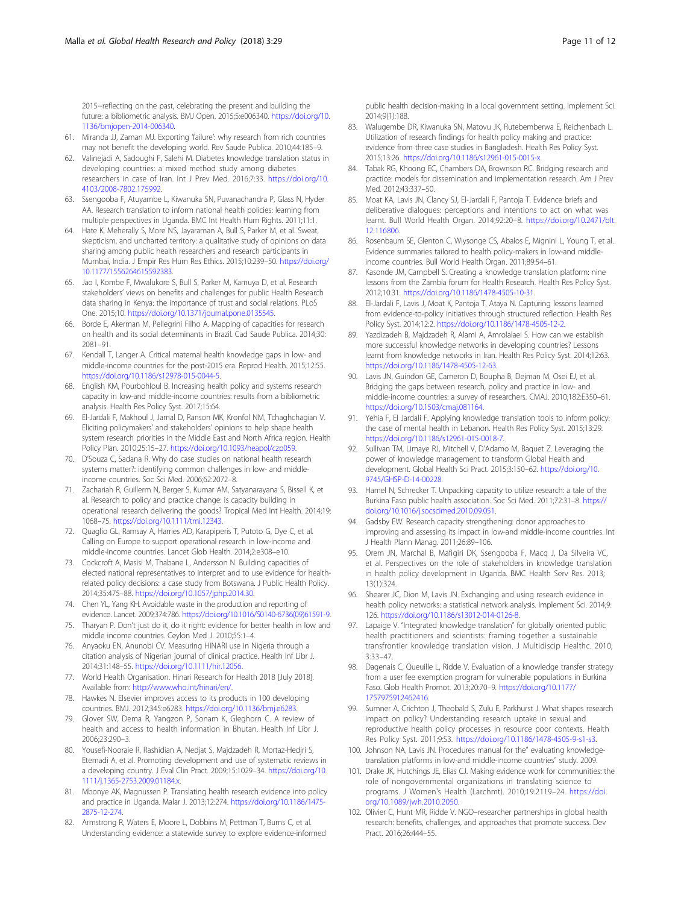<span id="page-10-0"></span>2015--reflecting on the past, celebrating the present and building the future: a bibliometric analysis. BMJ Open. 2015;5:e006340. [https://doi.org/10.](https://doi.org/10.1136/bmjopen-2014-006340) [1136/bmjopen-2014-006340](https://doi.org/10.1136/bmjopen-2014-006340).

- 61. Miranda JJ, Zaman MJ. Exporting 'failure': why research from rich countries may not benefit the developing world. Rev Saude Publica. 2010;44:185–9.
- 62. Valinejadi A, Sadoughi F, Salehi M. Diabetes knowledge translation status in developing countries: a mixed method study among diabetes researchers in case of Iran. Int J Prev Med. 2016;7:33. [https://doi.org/10.](https://doi.org/10.4103/2008-7802.175992) [4103/2008-7802.175992.](https://doi.org/10.4103/2008-7802.175992)
- 63. Ssengooba F, Atuyambe L, Kiwanuka SN, Puvanachandra P, Glass N, Hyder AA. Research translation to inform national health policies: learning from multiple perspectives in Uganda. BMC Int Health Hum Rights. 2011;11:1.
- 64. Hate K, Meherally S, More NS, Jayaraman A, Bull S, Parker M, et al. Sweat, skepticism, and uncharted territory: a qualitative study of opinions on data sharing among public health researchers and research participants in Mumbai, India. J Empir Res Hum Res Ethics. 2015;10:239–50. [https://doi.org/](https://doi.org/10.1177/1556264615592383) [10.1177/1556264615592383](https://doi.org/10.1177/1556264615592383).
- 65. Jao I, Kombe F, Mwalukore S, Bull S, Parker M, Kamuya D, et al. Research stakeholders' views on benefits and challenges for public Health Research data sharing in Kenya: the importance of trust and social relations. PLoS One. 2015;10. [https://doi.org/10.1371/journal.pone.0135545.](https://doi.org/10.1371/journal.pone.0135545)
- 66. Borde E, Akerman M, Pellegrini Filho A. Mapping of capacities for research on health and its social determinants in Brazil. Cad Saude Publica. 2014;30: 2081–91.
- 67. Kendall T, Langer A. Critical maternal health knowledge gaps in low- and middle-income countries for the post-2015 era. Reprod Health. 2015;12:55. <https://doi.org/10.1186/s12978-015-0044-5>.
- 68. English KM, Pourbohloul B. Increasing health policy and systems research capacity in low-and middle-income countries: results from a bibliometric analysis. Health Res Policy Syst. 2017;15:64.
- 69. El-Jardali F, Makhoul J, Jamal D, Ranson MK, Kronfol NM, Tchaghchagian V. Eliciting policymakers' and stakeholders' opinions to help shape health system research priorities in the Middle East and North Africa region. Health Policy Plan. 2010;25:15–27. <https://doi.org/10.1093/heapol/czp059>.
- 70. D'Souza C, Sadana R. Why do case studies on national health research systems matter?: identifying common challenges in low- and middleincome countries. Soc Sci Med. 2006;62:2072–8.
- 71. Zachariah R, Guillerm N, Berger S, Kumar AM, Satyanarayana S, Bissell K, et al. Research to policy and practice change: is capacity building in operational research delivering the goods? Tropical Med Int Health. 2014;19: 1068–75. [https://doi.org/10.1111/tmi.12343.](https://doi.org/10.1111/tmi.12343)
- 72. Quaglio GL, Ramsay A, Harries AD, Karapiperis T, Putoto G, Dye C, et al. Calling on Europe to support operational research in low-income and middle-income countries. Lancet Glob Health. 2014;2:e308–e10.
- 73. Cockcroft A, Masisi M, Thabane L, Andersson N. Building capacities of elected national representatives to interpret and to use evidence for healthrelated policy decisions: a case study from Botswana. J Public Health Policy. 2014;35:475–88. [https://doi.org/10.1057/jphp.2014.30.](https://doi.org/10.1057/jphp.2014.30)
- 74. Chen YL, Yang KH. Avoidable waste in the production and reporting of evidence. Lancet. 2009;374:786. [https://doi.org/10.1016/S0140-6736\(09\)61591-9](https://doi.org/10.1016/S0140-6736(09)61591-9).
- 75. Tharyan P. Don't just do it, do it right: evidence for better health in low and middle income countries. Ceylon Med J. 2010;55:1–4.
- 76. Anyaoku EN, Anunobi CV. Measuring HINARI use in Nigeria through a citation analysis of Nigerian journal of clinical practice. Health Inf Libr J. 2014;31:148–55. <https://doi.org/10.1111/hir.12056>.
- 77. World Health Organisation. Hinari Research for Health 2018 [July 2018]. Available from: <http://www.who.int/hinari/en/>.
- 78. Hawkes N. Elsevier improves access to its products in 100 developing countries. BMJ. 2012;345:e6283. <https://doi.org/10.1136/bmj.e6283>.
- 79. Glover SW, Dema R, Yangzon P, Sonam K, Gleghorn C. A review of health and access to health information in Bhutan. Health Inf Libr J. 2006;23:290–3.
- 80. Yousefi-Nooraie R, Rashidian A, Nedjat S, Majdzadeh R, Mortaz-Hedjri S, Etemadi A, et al. Promoting development and use of systematic reviews in a developing country. J Eval Clin Pract. 2009;15:1029–34. [https://doi.org/10.](https://doi.org/10.1111/j.1365-2753.2009.01184.x) [1111/j.1365-2753.2009.01184.x](https://doi.org/10.1111/j.1365-2753.2009.01184.x).
- 81. Mbonye AK, Magnussen P. Translating health research evidence into policy and practice in Uganda. Malar J. 2013;12:274. [https://doi.org/10.1186/1475-](https://doi.org/10.1186/1475-2875-12-274) [2875-12-274.](https://doi.org/10.1186/1475-2875-12-274)
- 82. Armstrong R, Waters E, Moore L, Dobbins M, Pettman T, Burns C, et al. Understanding evidence: a statewide survey to explore evidence-informed

public health decision-making in a local government setting. Implement Sci. 2014;9(1):188.

- 83. Walugembe DR, Kiwanuka SN, Matovu JK, Rutebemberwa E, Reichenbach L. Utilization of research findings for health policy making and practice: evidence from three case studies in Bangladesh. Health Res Policy Syst. 2015;13:26. [https://doi.org/10.1186/s12961-015-0015-x.](https://doi.org/10.1186/s12961-015-0015-x)
- 84. Tabak RG, Khoong EC, Chambers DA, Brownson RC. Bridging research and practice: models for dissemination and implementation research. Am J Prev Med. 2012;43:337–50.
- 85. Moat KA, Lavis JN, Clancy SJ, El-Jardali F, Pantoja T. Evidence briefs and deliberative dialogues: perceptions and intentions to act on what was learnt. Bull World Health Organ. 2014;92:20–8. [https://doi.org/10.2471/blt.](https://doi.org/10.2471/blt.12.116806) [12.116806](https://doi.org/10.2471/blt.12.116806).
- 86. Rosenbaum SE, Glenton C, Wiysonge CS, Abalos E, Mignini L, Young T, et al. Evidence summaries tailored to health policy-makers in low-and middleincome countries. Bull World Health Organ. 2011;89:54–61.
- 87. Kasonde JM, Campbell S. Creating a knowledge translation platform: nine lessons from the Zambia forum for Health Research. Health Res Policy Syst. 2012;10:31. <https://doi.org/10.1186/1478-4505-10-31>.
- 88. El-Jardali F, Lavis J, Moat K, Pantoja T, Ataya N. Capturing lessons learned from evidence-to-policy initiatives through structured reflection. Health Res Policy Syst. 2014;12:2. <https://doi.org/10.1186/1478-4505-12-2>.
- 89. Yazdizadeh B, Majdzadeh R, Alami A, Amrolalaei S. How can we establish more successful knowledge networks in developing countries? Lessons learnt from knowledge networks in Iran. Health Res Policy Syst. 2014;12:63. <https://doi.org/10.1186/1478-4505-12-63>.
- 90. Lavis JN, Guindon GE, Cameron D, Boupha B, Dejman M, Osei EJ, et al. Bridging the gaps between research, policy and practice in low- and middle-income countries: a survey of researchers. CMAJ. 2010;182:E350–61. <https://doi.org/10.1503/cmaj.081164>.
- 91. Yehia F, El Jardali F. Applying knowledge translation tools to inform policy: the case of mental health in Lebanon. Health Res Policy Syst. 2015;13:29. <https://doi.org/10.1186/s12961-015-0018-7>.
- 92. Sullivan TM, Limaye RJ, Mitchell V, D'Adamo M, Baquet Z. Leveraging the power of knowledge management to transform Global Health and development. Global Health Sci Pract. 2015;3:150–62. [https://doi.org/10.](https://doi.org/10.9745/GHSP-D-14-00228) [9745/GHSP-D-14-00228](https://doi.org/10.9745/GHSP-D-14-00228).
- 93. Hamel N, Schrecker T. Unpacking capacity to utilize research: a tale of the Burkina Faso public health association. Soc Sci Med. 2011;72:31–8. [https://](https://doi.org/10.1016/j.socscimed.2010.09.051) [doi.org/10.1016/j.socscimed.2010.09.051](https://doi.org/10.1016/j.socscimed.2010.09.051).
- 94. Gadsby EW. Research capacity strengthening: donor approaches to improving and assessing its impact in low-and middle-income countries. Int J Health Plann Manag. 2011;26:89–106.
- 95. Orem JN, Marchal B, Mafigiri DK, Ssengooba F, Macq J, Da Silveira VC, et al. Perspectives on the role of stakeholders in knowledge translation in health policy development in Uganda. BMC Health Serv Res. 2013; 13(1):324.
- 96. Shearer JC, Dion M, Lavis JN. Exchanging and using research evidence in health policy networks: a statistical network analysis. Implement Sci. 2014;9: 126. [https://doi.org/10.1186/s13012-014-0126-8.](https://doi.org/10.1186/s13012-014-0126-8)
- 97. Lapaige V. "Integrated knowledge translation" for globally oriented public health practitioners and scientists: framing together a sustainable transfrontier knowledge translation vision. J Multidiscip Healthc. 2010; 3:33–47.
- 98. Dagenais C, Queuille L, Ridde V. Evaluation of a knowledge transfer strategy from a user fee exemption program for vulnerable populations in Burkina Faso. Glob Health Promot. 2013;20:70–9. [https://doi.org/10.1177/](https://doi.org/10.1177/1757975912462416) [1757975912462416](https://doi.org/10.1177/1757975912462416).
- 99. Sumner A, Crichton J, Theobald S, Zulu E, Parkhurst J. What shapes research impact on policy? Understanding research uptake in sexual and reproductive health policy processes in resource poor contexts. Health Res Policy Syst. 2011;9:S3. [https://doi.org/10.1186/1478-4505-9-s1-s3.](https://doi.org/10.1186/1478-4505-9-s1-s3)
- 100. Johnson NA, Lavis JN. Procedures manual for the" evaluating knowledgetranslation platforms in low-and middle-income countries" study. 2009.
- 101. Drake JK, Hutchings JE, Elias CJ. Making evidence work for communities: the role of nongovernmental organizations in translating science to programs. J Women's Health (Larchmt). 2010;19:2119–24. [https://doi.](https://doi.org/10.1089/jwh.2010.2050) [org/10.1089/jwh.2010.2050.](https://doi.org/10.1089/jwh.2010.2050)
- 102. Olivier C, Hunt MR, Ridde V. NGO–researcher partnerships in global health research: benefits, challenges, and approaches that promote success. Dev Pract. 2016;26:444–55.